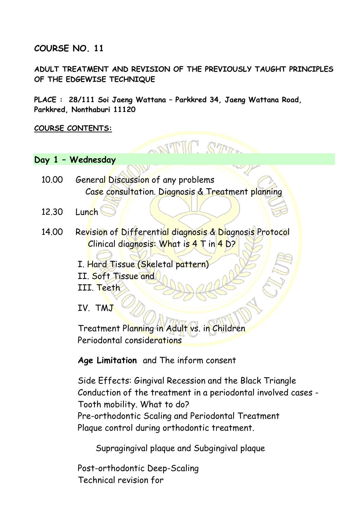### **COURSE NO. 11**

**ADULT TREATMENT AND REVISION OF THE PREVIOUSLY TAUGHT PRINCIPLES OF THE EDGEWISE TECHNIQUE** 

**STILL STAR.** 

**PLACE : 28/111 Soi Jaeng Wattana – Parkkred 34, Jaeng Wattana Road, Parkkred, Nonthaburi 11120** 

#### **COURSE CONTENTS:**

#### **Day 1 – Wednesday**

- 10.00 General Discussion of any problems Case consultation. Diagnosis & Treatment planning
- $12.30$  Lunch
- 14.00 Revision of Differential diagnosis & Diagnosis Protocol Clinical diagnosis: What is 4 T in 4 D?

I. Hard Tissue (Skeletal pattern) II. Soft Tissue and

III. Teeth

IV. TMJ

Treatment Planning in Adult vs. in Children Periodontal considerations

**Age Limitation** and The inform consent

Side Effects: Gingival Recession and the Black Triangle Conduction of the treatment in a periodontal involved cases - Tooth mobility. What to do? Pre-orthodontic Scaling and Periodontal Treatment Plaque control during orthodontic treatment.

Supragingival plaque and Subgingival plaque

Post-orthodontic Deep-Scaling Technical revision for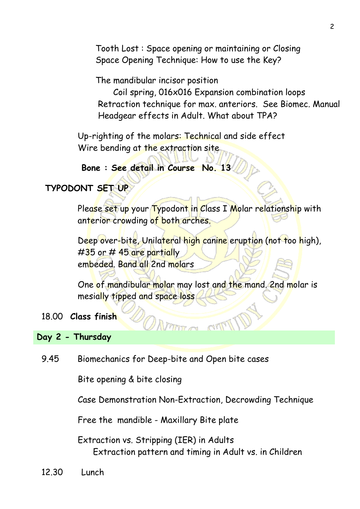Tooth Lost : Space opening or maintaining or Closing Space Opening Technique: How to use the Key?

The mandibular incisor position

 Coil spring, 016x016 Expansion combination loops Retraction technique for max. anteriors. See Biomec. Manual Headgear effects in Adult. What about TPA?

Up-righting of the molars: Technical and side effect Wire bending at the extraction site

**Bone : See detail in Course No. 13**

# **TYPODONT SET UP**

Please set up your Typodont in Class I Molar relationship with anterior crowding of both arches.

Deep over-bite, Unilateral high canine eruption (not too high),  $\#35$  or  $\#$  45 are partially embeded. Band all 2nd molars

One of mandibular molar may lost and the mand. 2nd molar is mesially tipped and space loss

## 18.00 **Class finish**

## **Day 2 - Thursday**

9.45Biomechanics for Deep-bite and Open bite cases

Bite opening & bite closing

Case Demonstration Non-Extraction, Decrowding Technique

Free the mandible - Maxillary Bite plate

Extraction vs. Stripping (IER) in Adults Extraction pattern and timing in Adult vs. in Children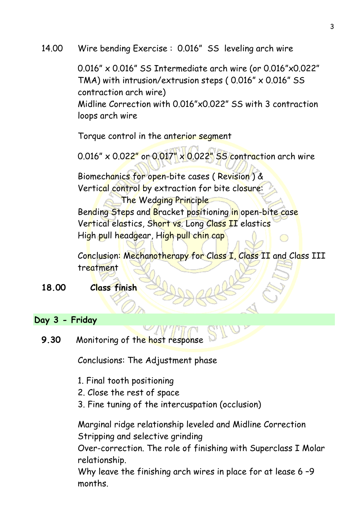14.00Wire bending Exercise : 0.016" SS leveling arch wire

0.016" x 0.016" SS Intermediate arch wire (or 0.016"x0.022" TMA) with intrusion/extrusion steps ( 0.016" x 0.016" SS contraction arch wire)

Midline Correction with 0.016"x0.022" SS with 3 contraction loops arch wire

Torque control in the anterior segment

0.016" x 0.022" or 0.017" x 0.022" SS contraction arch wire

Biomechanics for open-bite cases ( Revision ) & Vertical control by extraction for bite closure:

 The Wedging Principle Bending Steps and Bracket positioning in open-bite case Vertical elastics, Short vs. Long Class II elastics High pull headgear, High pull chin cap

Conclusion: Mechanotherapy for Class I, Class II and Class III treatment

**18.00 Class finish**

## **Day 3 - Friday**

**9.30** Monitoring of the host response

Conclusions: The Adjustment phase

- 1. Final tooth positioning
- 2. Close the rest of space
- 3. Fine tuning of the intercuspation (occlusion)

Marginal ridge relationship leveled and Midline Correction Stripping and selective grinding

Over-correction. The role of finishing with Superclass I Molar relationship.

Why leave the finishing arch wires in place for at lease 6 –9 months.